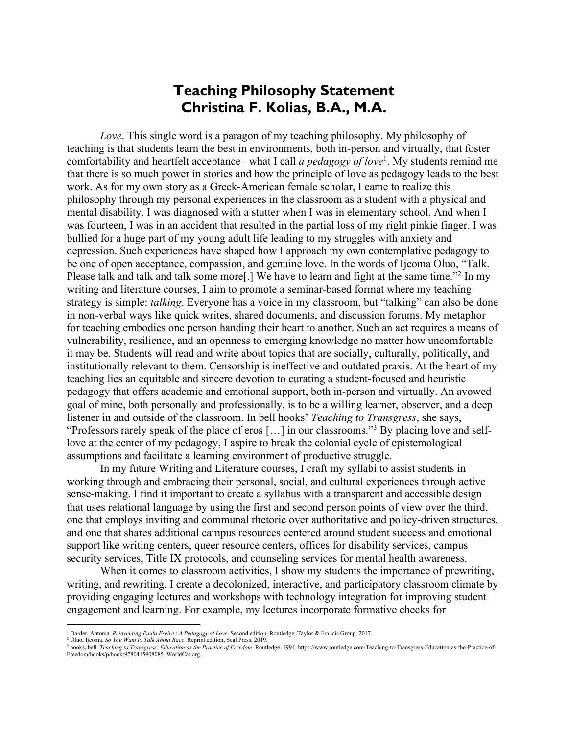## **Teaching Philosophy Statement Christina F. Kolias, B.A., M.A.**

*Love*. This single word is a paragon of my teaching philosophy. My philosophy of teaching is that students learn the best in environments, both in-person and virtually, that foster comfortability and heartfelt acceptance –what I call *a pedagogy of love*<sup>1</sup> . My students remind me that there is so much power in stories and how the principle of love as pedagogy leads to the best work. As for my own story as a Greek-American female scholar, I came to realize this philosophy through my personal experiences in the classroom as a student with a physical and mental disability. I was diagnosed with a stutter when I was in elementary school. And when I was fourteen, I was in an accident that resulted in the partial loss of my right pinkie finger. I was bullied for a huge part of my young adult life leading to my struggles with anxiety and depression. Such experiences have shaped how I approach my own contemplative pedagogy to be one of open acceptance, compassion, and genuine love. In the words of Ijeoma Oluo, "Talk. Please talk and talk and talk some more<sup>[1]</sup> We have to learn and fight at the same time."<sup>2</sup> In my writing and literature courses, I aim to promote a seminar-based format where my teaching strategy is simple: *talking*. Everyone has a voice in my classroom, but "talking" can also be done in non-verbal ways like quick writes, shared documents, and discussion forums. My metaphor for teaching embodies one person handing their heart to another. Such an act requires a means of vulnerability, resilience, and an openness to emerging knowledge no matter how uncomfortable it may be. Students will read and write about topics that are socially, culturally, politically, and institutionally relevant to them. Censorship is ineffective and outdated praxis. At the heart of my teaching lies an equitable and sincere devotion to curating a student-focused and heuristic pedagogy that offers academic and emotional support, both in-person and virtually. An avowed goal of mine, both personally and professionally, is to be a willing learner, observer, and a deep listener in and outside of the classroom. In bell hooks' *Teaching to Transgress*, she says, "Professors rarely speak of the place of eros […] in our classrooms."3 By placing love and selflove at the center of my pedagogy, I aspire to break the colonial cycle of epistemological assumptions and facilitate a learning environment of productive struggle.

In my future Writing and Literature courses, I craft my syllabi to assist students in working through and embracing their personal, social, and cultural experiences through active sense-making. I find it important to create a syllabus with a transparent and accessible design that uses relational language by using the first and second person points of view over the third, one that employs inviting and communal rhetoric over authoritative and policy-driven structures, and one that shares additional campus resources centered around student success and emotional support like writing centers, queer resource centers, offices for disability services, campus security services, Title IX protocols, and counseling services for mental health awareness.

When it comes to classroom activities, I show my students the importance of prewriting, writing, and rewriting. I create a decolonized, interactive, and participatory classroom climate by providing engaging lectures and workshops with technology integration for improving student engagement and learning. For example, my lectures incorporate formative checks for

<sup>1</sup> Darder, Antonia. *Reinventing Paulo Freire* : *A Pedagogy of Love*. Second edition, Routledge, Taylor & Francis Group, 2017.

<sup>2</sup> Oluo, Ijeoma. *So You Want to Talk About Race*. Reprint edition, Seal Press, 2019.

<sup>3</sup> hooks, bell. *Teaching to Transgress: Education as the Practice of Freedom*. Routledge, 1994, https://www.routledge.com/Teaching-to-Transgress-Education-as-the-Practice-of-Freedom/hooks/p/book/9780415908085. WorldCat.org.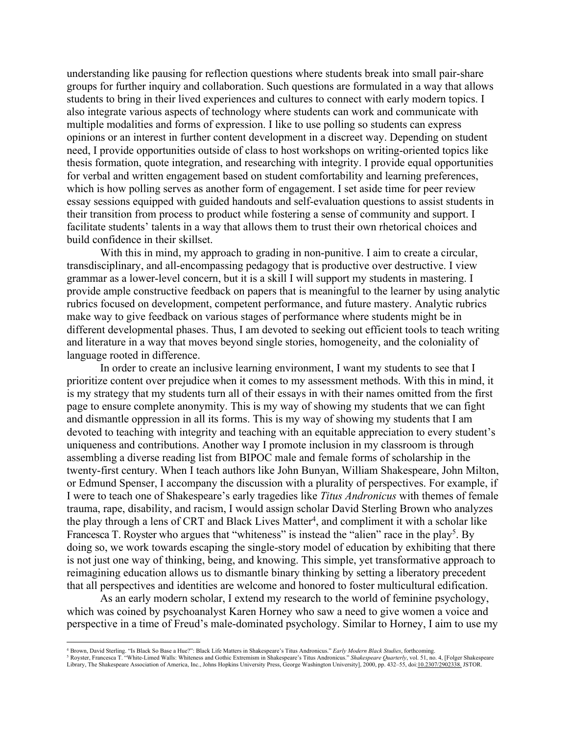understanding like pausing for reflection questions where students break into small pair-share groups for further inquiry and collaboration. Such questions are formulated in a way that allows students to bring in their lived experiences and cultures to connect with early modern topics. I also integrate various aspects of technology where students can work and communicate with multiple modalities and forms of expression. I like to use polling so students can express opinions or an interest in further content development in a discreet way. Depending on student need, I provide opportunities outside of class to host workshops on writing-oriented topics like thesis formation, quote integration, and researching with integrity. I provide equal opportunities for verbal and written engagement based on student comfortability and learning preferences, which is how polling serves as another form of engagement. I set aside time for peer review essay sessions equipped with guided handouts and self-evaluation questions to assist students in their transition from process to product while fostering a sense of community and support. I facilitate students' talents in a way that allows them to trust their own rhetorical choices and build confidence in their skillset.

With this in mind, my approach to grading in non-punitive. I aim to create a circular, transdisciplinary, and all-encompassing pedagogy that is productive over destructive. I view grammar as a lower-level concern, but it is a skill I will support my students in mastering. I provide ample constructive feedback on papers that is meaningful to the learner by using analytic rubrics focused on development, competent performance, and future mastery. Analytic rubrics make way to give feedback on various stages of performance where students might be in different developmental phases. Thus, I am devoted to seeking out efficient tools to teach writing and literature in a way that moves beyond single stories, homogeneity, and the coloniality of language rooted in difference.

In order to create an inclusive learning environment, I want my students to see that I prioritize content over prejudice when it comes to my assessment methods. With this in mind, it is my strategy that my students turn all of their essays in with their names omitted from the first page to ensure complete anonymity. This is my way of showing my students that we can fight and dismantle oppression in all its forms. This is my way of showing my students that I am devoted to teaching with integrity and teaching with an equitable appreciation to every student's uniqueness and contributions. Another way I promote inclusion in my classroom is through assembling a diverse reading list from BIPOC male and female forms of scholarship in the twenty-first century. When I teach authors like John Bunyan, William Shakespeare, John Milton, or Edmund Spenser, I accompany the discussion with a plurality of perspectives. For example, if I were to teach one of Shakespeare's early tragedies like *Titus Andronicus* with themes of female trauma, rape, disability, and racism, I would assign scholar David Sterling Brown who analyzes the play through a lens of CRT and Black Lives Matter<sup>4</sup>, and compliment it with a scholar like Francesca T. Royster who argues that "whiteness" is instead the "alien" race in the play<sup>5</sup>. By doing so, we work towards escaping the single-story model of education by exhibiting that there is not just one way of thinking, being, and knowing. This simple, yet transformative approach to reimagining education allows us to dismantle binary thinking by setting a liberatory precedent that all perspectives and identities are welcome and honored to foster multicultural edification.

As an early modern scholar, I extend my research to the world of feminine psychology, which was coined by psychoanalyst Karen Horney who saw a need to give women a voice and perspective in a time of Freud's male-dominated psychology. Similar to Horney, I aim to use my

<sup>4</sup> Brown, David Sterling. "Is Black So Base a Hue?": Black Life Matters in Shakespeare's Titus Andronicus." *Early Modern Black Studies*, forthcoming.<br><sup>5</sup> Royster, Francesca T. "White-Limed Walls: Whiteness and Gothic Ext